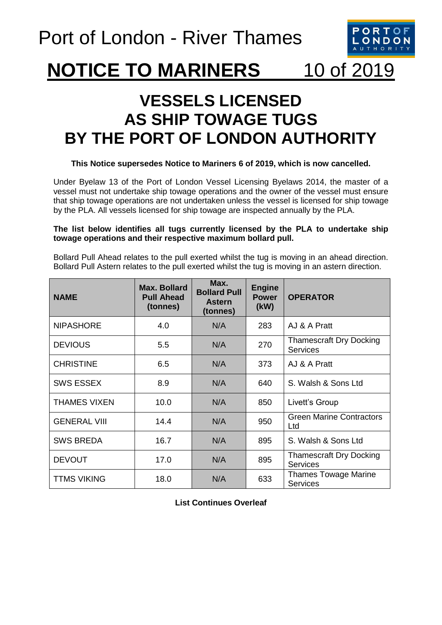

## **NOTICE TO MARINERS** 10 of 2019

## **VESSELS LICENSED AS SHIP TOWAGE TUGS BY THE PORT OF LONDON AUTHORITY**

## **This Notice supersedes Notice to Mariners 6 of 2019, which is now cancelled.**

Under Byelaw 13 of the Port of London Vessel Licensing Byelaws 2014, the master of a vessel must not undertake ship towage operations and the owner of the vessel must ensure that ship towage operations are not undertaken unless the vessel is licensed for ship towage by the PLA. All vessels licensed for ship towage are inspected annually by the PLA.

## **The list below identifies all tugs currently licensed by the PLA to undertake ship towage operations and their respective maximum bollard pull.**

Bollard Pull Ahead relates to the pull exerted whilst the tug is moving in an ahead direction. Bollard Pull Astern relates to the pull exerted whilst the tug is moving in an astern direction.

| <b>NAME</b>         | <b>Max. Bollard</b><br><b>Pull Ahead</b><br>(tonnes) | Max.<br><b>Bollard Pull</b><br><b>Astern</b><br>(tonnes) | <b>Engine</b><br><b>Power</b><br>(kW) | <b>OPERATOR</b>                                   |
|---------------------|------------------------------------------------------|----------------------------------------------------------|---------------------------------------|---------------------------------------------------|
| <b>NIPASHORE</b>    | 4.0                                                  | N/A                                                      | 283                                   | AJ & A Pratt                                      |
| <b>DEVIOUS</b>      | 5.5                                                  | N/A                                                      | 270                                   | <b>Thamescraft Dry Docking</b><br><b>Services</b> |
| <b>CHRISTINE</b>    | 6.5                                                  | N/A                                                      | 373                                   | AJ & A Pratt                                      |
| <b>SWS ESSEX</b>    | 8.9                                                  | N/A                                                      | 640                                   | S. Walsh & Sons Ltd                               |
| <b>THAMES VIXEN</b> | 10.0                                                 | N/A                                                      | 850                                   | Livett's Group                                    |
| <b>GENERAL VIII</b> | 14.4                                                 | N/A                                                      | 950                                   | <b>Green Marine Contractors</b><br>Ltd            |
| <b>SWS BREDA</b>    | 16.7                                                 | N/A                                                      | 895                                   | S. Walsh & Sons Ltd                               |
| <b>DEVOUT</b>       | 17.0                                                 | N/A                                                      | 895                                   | <b>Thamescraft Dry Docking</b><br><b>Services</b> |
| <b>TTMS VIKING</b>  | 18.0                                                 | N/A                                                      | 633                                   | <b>Thames Towage Marine</b><br><b>Services</b>    |

**List Continues Overleaf**